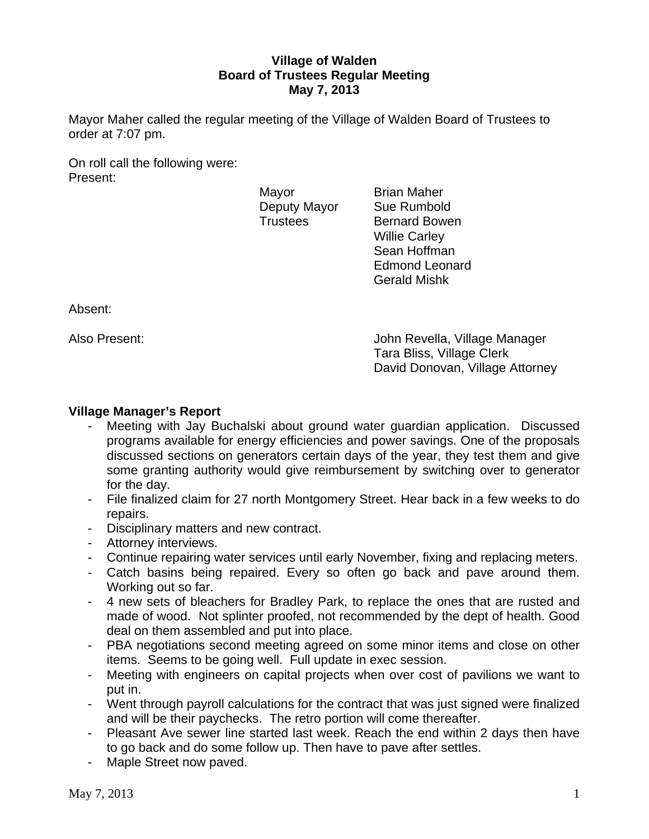# **Village of Walden Board of Trustees Regular Meeting May 7, 2013**

Mayor Maher called the regular meeting of the Village of Walden Board of Trustees to order at 7:07 pm.

On roll call the following were: Present:

Mayor **Brian Maher** Deputy Mayor Sue Rumbold

Trustees Bernard Bowen Willie Carley Sean Hoffman Edmond Leonard Gerald Mishk

Absent:

Also Present: John Revella, Village Manager Tara Bliss, Village Clerk David Donovan, Village Attorney

# **Village Manager's Report**

- Meeting with Jay Buchalski about ground water guardian application. Discussed programs available for energy efficiencies and power savings. One of the proposals discussed sections on generators certain days of the year, they test them and give some granting authority would give reimbursement by switching over to generator for the day.
- File finalized claim for 27 north Montgomery Street. Hear back in a few weeks to do repairs.
- Disciplinary matters and new contract.
- Attorney interviews.
- Continue repairing water services until early November, fixing and replacing meters.
- Catch basins being repaired. Every so often go back and pave around them. Working out so far.
- 4 new sets of bleachers for Bradley Park, to replace the ones that are rusted and made of wood. Not splinter proofed, not recommended by the dept of health. Good deal on them assembled and put into place.
- PBA negotiations second meeting agreed on some minor items and close on other items. Seems to be going well. Full update in exec session.
- Meeting with engineers on capital projects when over cost of pavilions we want to put in.
- Went through payroll calculations for the contract that was just signed were finalized and will be their paychecks. The retro portion will come thereafter.
- Pleasant Ave sewer line started last week. Reach the end within 2 days then have to go back and do some follow up. Then have to pave after settles.
- Maple Street now paved.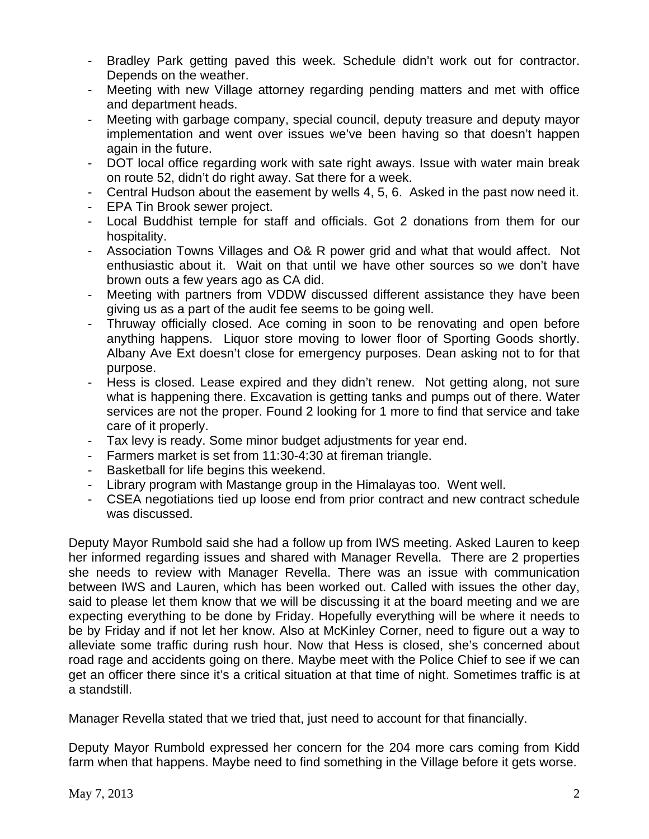- Bradley Park getting paved this week. Schedule didn't work out for contractor. Depends on the weather.
- Meeting with new Village attorney regarding pending matters and met with office and department heads.
- Meeting with garbage company, special council, deputy treasure and deputy mayor implementation and went over issues we've been having so that doesn't happen again in the future.
- DOT local office regarding work with sate right aways. Issue with water main break on route 52, didn't do right away. Sat there for a week.
- Central Hudson about the easement by wells 4, 5, 6. Asked in the past now need it.
- EPA Tin Brook sewer project.
- Local Buddhist temple for staff and officials. Got 2 donations from them for our hospitality.
- Association Towns Villages and O& R power grid and what that would affect. Not enthusiastic about it. Wait on that until we have other sources so we don't have brown outs a few years ago as CA did.
- Meeting with partners from VDDW discussed different assistance they have been giving us as a part of the audit fee seems to be going well.
- Thruway officially closed. Ace coming in soon to be renovating and open before anything happens. Liquor store moving to lower floor of Sporting Goods shortly. Albany Ave Ext doesn't close for emergency purposes. Dean asking not to for that purpose.
- Hess is closed. Lease expired and they didn't renew. Not getting along, not sure what is happening there. Excavation is getting tanks and pumps out of there. Water services are not the proper. Found 2 looking for 1 more to find that service and take care of it properly.
- Tax levy is ready. Some minor budget adjustments for year end.
- Farmers market is set from 11:30-4:30 at fireman triangle.
- Basketball for life begins this weekend.
- Library program with Mastange group in the Himalayas too. Went well.
- CSEA negotiations tied up loose end from prior contract and new contract schedule was discussed.

Deputy Mayor Rumbold said she had a follow up from IWS meeting. Asked Lauren to keep her informed regarding issues and shared with Manager Revella. There are 2 properties she needs to review with Manager Revella. There was an issue with communication between IWS and Lauren, which has been worked out. Called with issues the other day, said to please let them know that we will be discussing it at the board meeting and we are expecting everything to be done by Friday. Hopefully everything will be where it needs to be by Friday and if not let her know. Also at McKinley Corner, need to figure out a way to alleviate some traffic during rush hour. Now that Hess is closed, she's concerned about road rage and accidents going on there. Maybe meet with the Police Chief to see if we can get an officer there since it's a critical situation at that time of night. Sometimes traffic is at a standstill.

Manager Revella stated that we tried that, just need to account for that financially.

Deputy Mayor Rumbold expressed her concern for the 204 more cars coming from Kidd farm when that happens. Maybe need to find something in the Village before it gets worse.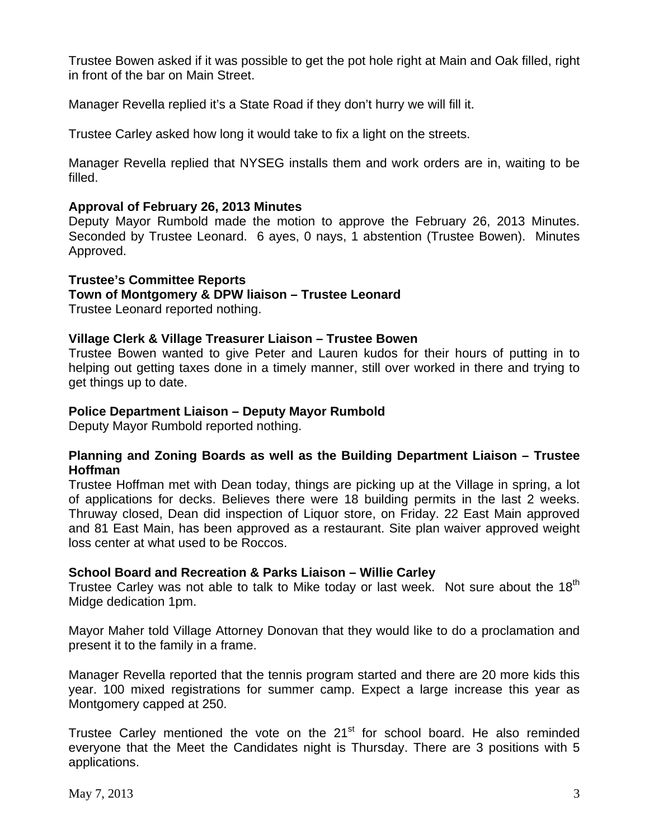Trustee Bowen asked if it was possible to get the pot hole right at Main and Oak filled, right in front of the bar on Main Street.

Manager Revella replied it's a State Road if they don't hurry we will fill it.

Trustee Carley asked how long it would take to fix a light on the streets.

Manager Revella replied that NYSEG installs them and work orders are in, waiting to be filled.

# **Approval of February 26, 2013 Minutes**

Deputy Mayor Rumbold made the motion to approve the February 26, 2013 Minutes. Seconded by Trustee Leonard. 6 ayes, 0 nays, 1 abstention (Trustee Bowen). Minutes Approved.

# **Trustee's Committee Reports**

# **Town of Montgomery & DPW liaison – Trustee Leonard**

Trustee Leonard reported nothing.

# **Village Clerk & Village Treasurer Liaison – Trustee Bowen**

Trustee Bowen wanted to give Peter and Lauren kudos for their hours of putting in to helping out getting taxes done in a timely manner, still over worked in there and trying to get things up to date.

# **Police Department Liaison – Deputy Mayor Rumbold**

Deputy Mayor Rumbold reported nothing.

# **Planning and Zoning Boards as well as the Building Department Liaison – Trustee Hoffman**

Trustee Hoffman met with Dean today, things are picking up at the Village in spring, a lot of applications for decks. Believes there were 18 building permits in the last 2 weeks. Thruway closed, Dean did inspection of Liquor store, on Friday. 22 East Main approved and 81 East Main, has been approved as a restaurant. Site plan waiver approved weight loss center at what used to be Roccos.

# **School Board and Recreation & Parks Liaison – Willie Carley**

Trustee Carley was not able to talk to Mike today or last week. Not sure about the 18<sup>th</sup> Midge dedication 1pm.

Mayor Maher told Village Attorney Donovan that they would like to do a proclamation and present it to the family in a frame.

Manager Revella reported that the tennis program started and there are 20 more kids this year. 100 mixed registrations for summer camp. Expect a large increase this year as Montgomery capped at 250.

Trustee Carley mentioned the vote on the  $21<sup>st</sup>$  for school board. He also reminded everyone that the Meet the Candidates night is Thursday. There are 3 positions with 5 applications.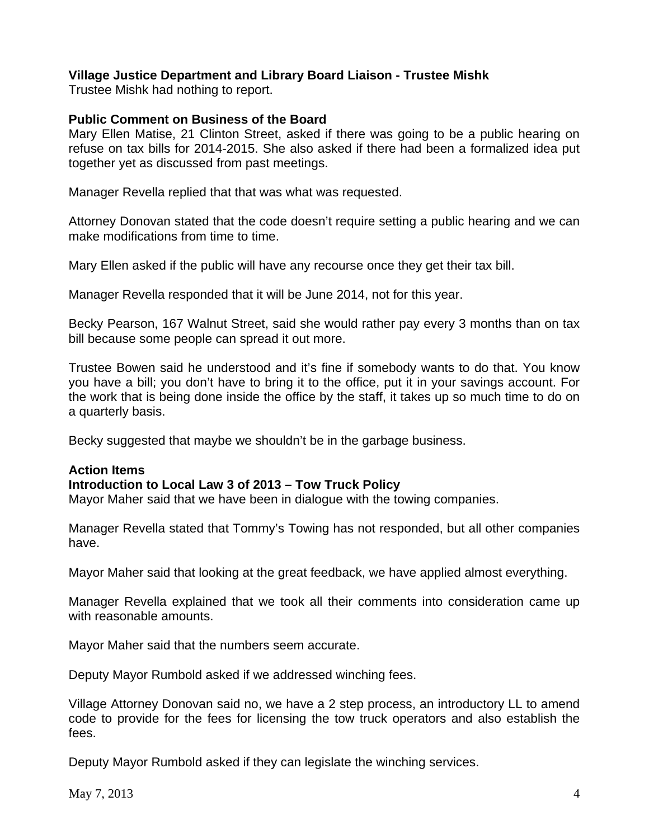# **Village Justice Department and Library Board Liaison - Trustee Mishk**

Trustee Mishk had nothing to report.

# **Public Comment on Business of the Board**

Mary Ellen Matise, 21 Clinton Street, asked if there was going to be a public hearing on refuse on tax bills for 2014-2015. She also asked if there had been a formalized idea put together yet as discussed from past meetings.

Manager Revella replied that that was what was requested.

Attorney Donovan stated that the code doesn't require setting a public hearing and we can make modifications from time to time.

Mary Ellen asked if the public will have any recourse once they get their tax bill.

Manager Revella responded that it will be June 2014, not for this year.

Becky Pearson, 167 Walnut Street, said she would rather pay every 3 months than on tax bill because some people can spread it out more.

Trustee Bowen said he understood and it's fine if somebody wants to do that. You know you have a bill; you don't have to bring it to the office, put it in your savings account. For the work that is being done inside the office by the staff, it takes up so much time to do on a quarterly basis.

Becky suggested that maybe we shouldn't be in the garbage business.

# **Action Items**

# **Introduction to Local Law 3 of 2013 – Tow Truck Policy**

Mayor Maher said that we have been in dialogue with the towing companies.

Manager Revella stated that Tommy's Towing has not responded, but all other companies have.

Mayor Maher said that looking at the great feedback, we have applied almost everything.

Manager Revella explained that we took all their comments into consideration came up with reasonable amounts.

Mayor Maher said that the numbers seem accurate.

Deputy Mayor Rumbold asked if we addressed winching fees.

Village Attorney Donovan said no, we have a 2 step process, an introductory LL to amend code to provide for the fees for licensing the tow truck operators and also establish the fees.

Deputy Mayor Rumbold asked if they can legislate the winching services.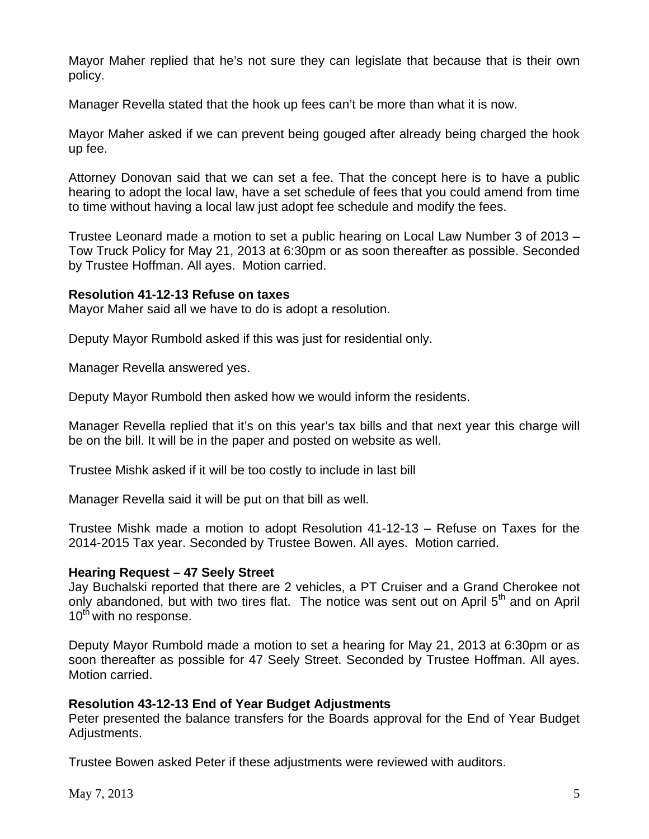Mayor Maher replied that he's not sure they can legislate that because that is their own policy.

Manager Revella stated that the hook up fees can't be more than what it is now.

Mayor Maher asked if we can prevent being gouged after already being charged the hook up fee.

Attorney Donovan said that we can set a fee. That the concept here is to have a public hearing to adopt the local law, have a set schedule of fees that you could amend from time to time without having a local law just adopt fee schedule and modify the fees.

Trustee Leonard made a motion to set a public hearing on Local Law Number 3 of 2013 – Tow Truck Policy for May 21, 2013 at 6:30pm or as soon thereafter as possible. Seconded by Trustee Hoffman. All ayes. Motion carried.

### **Resolution 41-12-13 Refuse on taxes**

Mayor Maher said all we have to do is adopt a resolution.

Deputy Mayor Rumbold asked if this was just for residential only.

Manager Revella answered yes.

Deputy Mayor Rumbold then asked how we would inform the residents.

Manager Revella replied that it's on this year's tax bills and that next year this charge will be on the bill. It will be in the paper and posted on website as well.

Trustee Mishk asked if it will be too costly to include in last bill

Manager Revella said it will be put on that bill as well.

Trustee Mishk made a motion to adopt Resolution 41-12-13 – Refuse on Taxes for the 2014-2015 Tax year. Seconded by Trustee Bowen. All ayes. Motion carried.

#### **Hearing Request – 47 Seely Street**

Jay Buchalski reported that there are 2 vehicles, a PT Cruiser and a Grand Cherokee not only abandoned, but with two tires flat. The notice was sent out on April 5<sup>th</sup> and on April 10<sup>th</sup> with no response.

Deputy Mayor Rumbold made a motion to set a hearing for May 21, 2013 at 6:30pm or as soon thereafter as possible for 47 Seely Street. Seconded by Trustee Hoffman. All ayes. Motion carried.

#### **Resolution 43-12-13 End of Year Budget Adjustments**

Peter presented the balance transfers for the Boards approval for the End of Year Budget Adjustments.

Trustee Bowen asked Peter if these adjustments were reviewed with auditors.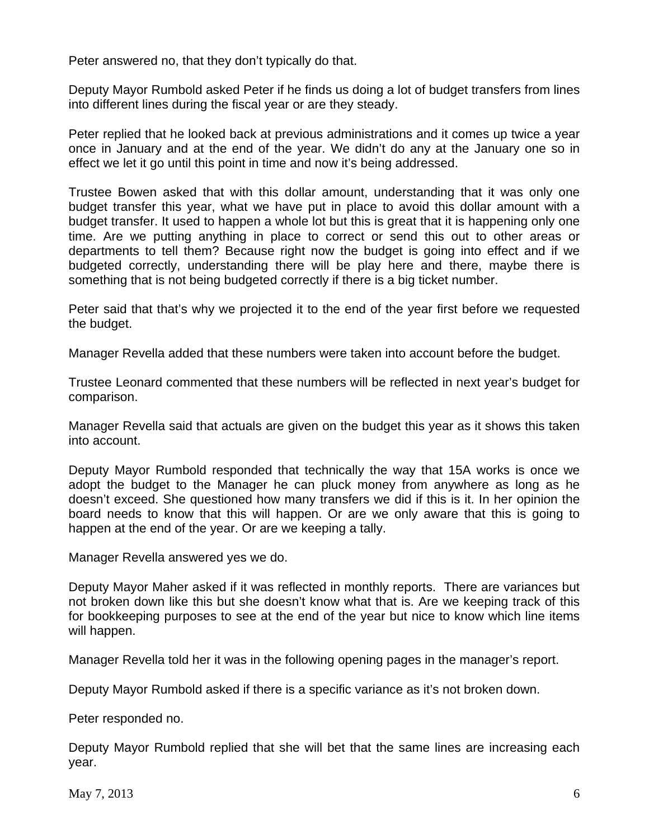Peter answered no, that they don't typically do that.

Deputy Mayor Rumbold asked Peter if he finds us doing a lot of budget transfers from lines into different lines during the fiscal year or are they steady.

Peter replied that he looked back at previous administrations and it comes up twice a year once in January and at the end of the year. We didn't do any at the January one so in effect we let it go until this point in time and now it's being addressed.

Trustee Bowen asked that with this dollar amount, understanding that it was only one budget transfer this year, what we have put in place to avoid this dollar amount with a budget transfer. It used to happen a whole lot but this is great that it is happening only one time. Are we putting anything in place to correct or send this out to other areas or departments to tell them? Because right now the budget is going into effect and if we budgeted correctly, understanding there will be play here and there, maybe there is something that is not being budgeted correctly if there is a big ticket number.

Peter said that that's why we projected it to the end of the year first before we requested the budget.

Manager Revella added that these numbers were taken into account before the budget.

Trustee Leonard commented that these numbers will be reflected in next year's budget for comparison.

Manager Revella said that actuals are given on the budget this year as it shows this taken into account.

Deputy Mayor Rumbold responded that technically the way that 15A works is once we adopt the budget to the Manager he can pluck money from anywhere as long as he doesn't exceed. She questioned how many transfers we did if this is it. In her opinion the board needs to know that this will happen. Or are we only aware that this is going to happen at the end of the year. Or are we keeping a tally.

Manager Revella answered yes we do.

Deputy Mayor Maher asked if it was reflected in monthly reports. There are variances but not broken down like this but she doesn't know what that is. Are we keeping track of this for bookkeeping purposes to see at the end of the year but nice to know which line items will happen.

Manager Revella told her it was in the following opening pages in the manager's report.

Deputy Mayor Rumbold asked if there is a specific variance as it's not broken down.

Peter responded no.

Deputy Mayor Rumbold replied that she will bet that the same lines are increasing each year.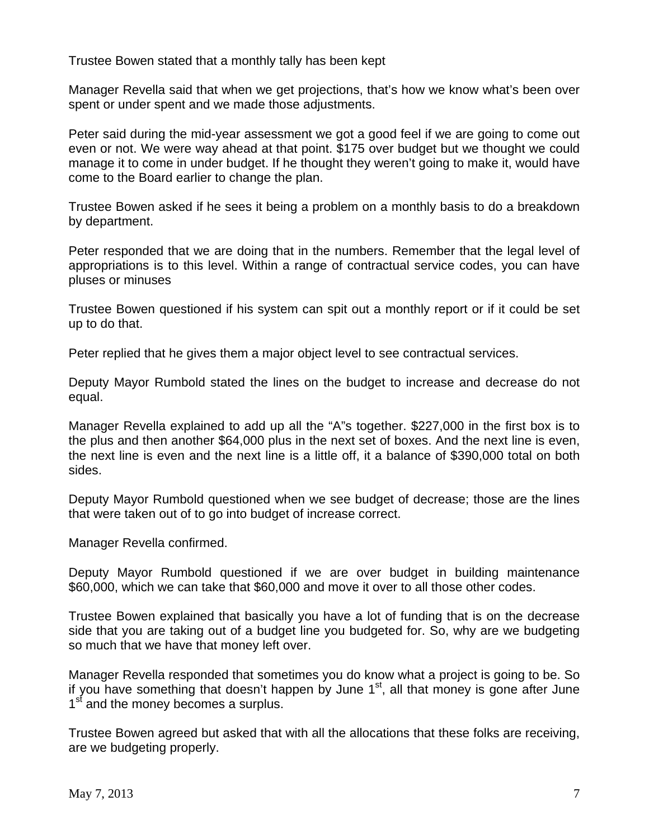Trustee Bowen stated that a monthly tally has been kept

Manager Revella said that when we get projections, that's how we know what's been over spent or under spent and we made those adjustments.

Peter said during the mid-year assessment we got a good feel if we are going to come out even or not. We were way ahead at that point. \$175 over budget but we thought we could manage it to come in under budget. If he thought they weren't going to make it, would have come to the Board earlier to change the plan.

Trustee Bowen asked if he sees it being a problem on a monthly basis to do a breakdown by department.

Peter responded that we are doing that in the numbers. Remember that the legal level of appropriations is to this level. Within a range of contractual service codes, you can have pluses or minuses

Trustee Bowen questioned if his system can spit out a monthly report or if it could be set up to do that.

Peter replied that he gives them a major object level to see contractual services.

Deputy Mayor Rumbold stated the lines on the budget to increase and decrease do not equal.

Manager Revella explained to add up all the "A"s together. \$227,000 in the first box is to the plus and then another \$64,000 plus in the next set of boxes. And the next line is even, the next line is even and the next line is a little off, it a balance of \$390,000 total on both sides.

Deputy Mayor Rumbold questioned when we see budget of decrease; those are the lines that were taken out of to go into budget of increase correct.

Manager Revella confirmed.

Deputy Mayor Rumbold questioned if we are over budget in building maintenance \$60,000, which we can take that \$60,000 and move it over to all those other codes.

Trustee Bowen explained that basically you have a lot of funding that is on the decrease side that you are taking out of a budget line you budgeted for. So, why are we budgeting so much that we have that money left over.

Manager Revella responded that sometimes you do know what a project is going to be. So if you have something that doesn't happen by June  $1<sup>st</sup>$ , all that money is gone after June 1<sup>st</sup> and the money becomes a surplus.

Trustee Bowen agreed but asked that with all the allocations that these folks are receiving, are we budgeting properly.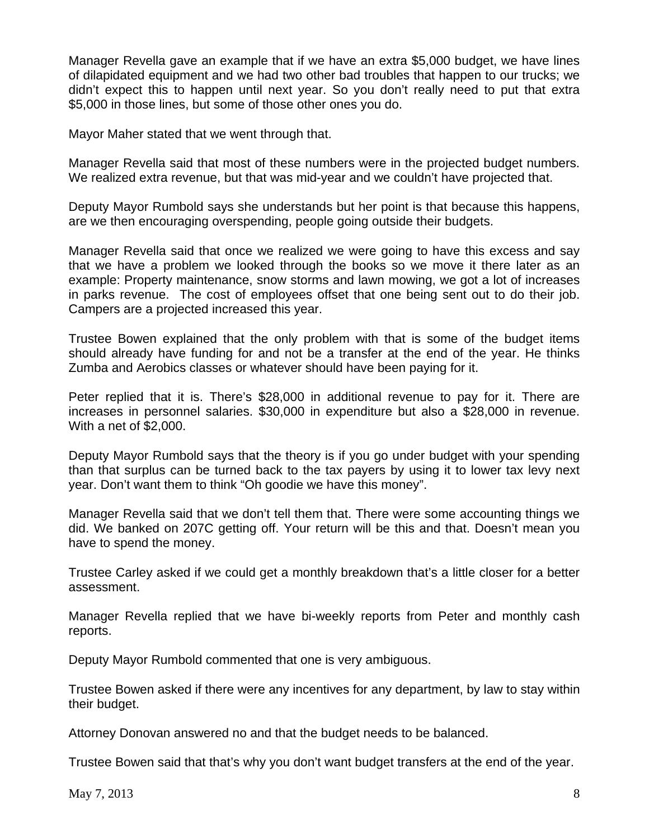Manager Revella gave an example that if we have an extra \$5,000 budget, we have lines of dilapidated equipment and we had two other bad troubles that happen to our trucks; we didn't expect this to happen until next year. So you don't really need to put that extra \$5,000 in those lines, but some of those other ones you do.

Mayor Maher stated that we went through that.

Manager Revella said that most of these numbers were in the projected budget numbers. We realized extra revenue, but that was mid-year and we couldn't have projected that.

Deputy Mayor Rumbold says she understands but her point is that because this happens, are we then encouraging overspending, people going outside their budgets.

Manager Revella said that once we realized we were going to have this excess and say that we have a problem we looked through the books so we move it there later as an example: Property maintenance, snow storms and lawn mowing, we got a lot of increases in parks revenue. The cost of employees offset that one being sent out to do their job. Campers are a projected increased this year.

Trustee Bowen explained that the only problem with that is some of the budget items should already have funding for and not be a transfer at the end of the year. He thinks Zumba and Aerobics classes or whatever should have been paying for it.

Peter replied that it is. There's \$28,000 in additional revenue to pay for it. There are increases in personnel salaries. \$30,000 in expenditure but also a \$28,000 in revenue. With a net of \$2,000.

Deputy Mayor Rumbold says that the theory is if you go under budget with your spending than that surplus can be turned back to the tax payers by using it to lower tax levy next year. Don't want them to think "Oh goodie we have this money".

Manager Revella said that we don't tell them that. There were some accounting things we did. We banked on 207C getting off. Your return will be this and that. Doesn't mean you have to spend the money.

Trustee Carley asked if we could get a monthly breakdown that's a little closer for a better assessment.

Manager Revella replied that we have bi-weekly reports from Peter and monthly cash reports.

Deputy Mayor Rumbold commented that one is very ambiguous.

Trustee Bowen asked if there were any incentives for any department, by law to stay within their budget.

Attorney Donovan answered no and that the budget needs to be balanced.

Trustee Bowen said that that's why you don't want budget transfers at the end of the year.

 $\text{May } 7, 2013$  8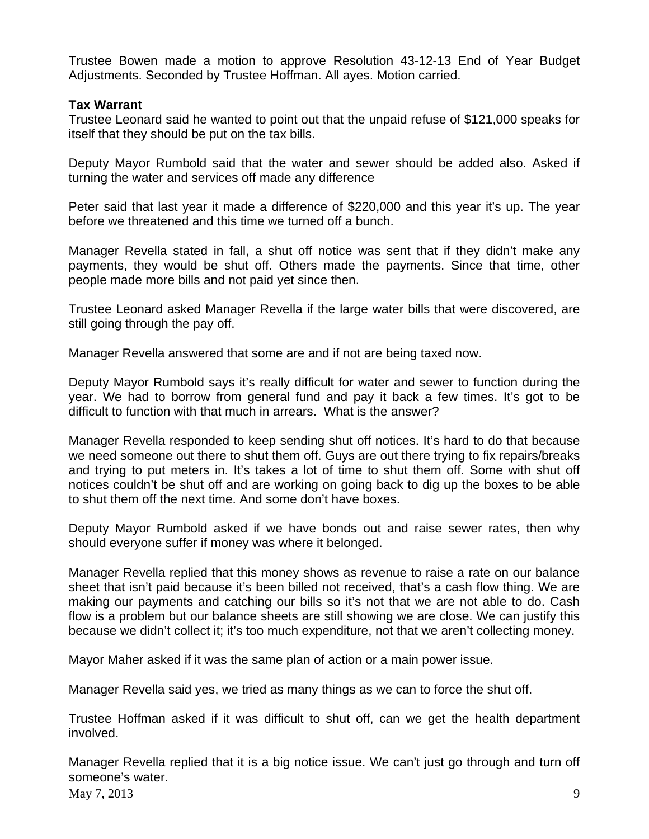Trustee Bowen made a motion to approve Resolution 43-12-13 End of Year Budget Adjustments. Seconded by Trustee Hoffman. All ayes. Motion carried.

# **Tax Warrant**

Trustee Leonard said he wanted to point out that the unpaid refuse of \$121,000 speaks for itself that they should be put on the tax bills.

Deputy Mayor Rumbold said that the water and sewer should be added also. Asked if turning the water and services off made any difference

Peter said that last year it made a difference of \$220,000 and this year it's up. The year before we threatened and this time we turned off a bunch.

Manager Revella stated in fall, a shut off notice was sent that if they didn't make any payments, they would be shut off. Others made the payments. Since that time, other people made more bills and not paid yet since then.

Trustee Leonard asked Manager Revella if the large water bills that were discovered, are still going through the pay off.

Manager Revella answered that some are and if not are being taxed now.

Deputy Mayor Rumbold says it's really difficult for water and sewer to function during the year. We had to borrow from general fund and pay it back a few times. It's got to be difficult to function with that much in arrears. What is the answer?

Manager Revella responded to keep sending shut off notices. It's hard to do that because we need someone out there to shut them off. Guys are out there trying to fix repairs/breaks and trying to put meters in. It's takes a lot of time to shut them off. Some with shut off notices couldn't be shut off and are working on going back to dig up the boxes to be able to shut them off the next time. And some don't have boxes.

Deputy Mayor Rumbold asked if we have bonds out and raise sewer rates, then why should everyone suffer if money was where it belonged.

Manager Revella replied that this money shows as revenue to raise a rate on our balance sheet that isn't paid because it's been billed not received, that's a cash flow thing. We are making our payments and catching our bills so it's not that we are not able to do. Cash flow is a problem but our balance sheets are still showing we are close. We can justify this because we didn't collect it; it's too much expenditure, not that we aren't collecting money.

Mayor Maher asked if it was the same plan of action or a main power issue.

Manager Revella said yes, we tried as many things as we can to force the shut off.

Trustee Hoffman asked if it was difficult to shut off, can we get the health department involved.

May 7, 2013 9 Manager Revella replied that it is a big notice issue. We can't just go through and turn off someone's water.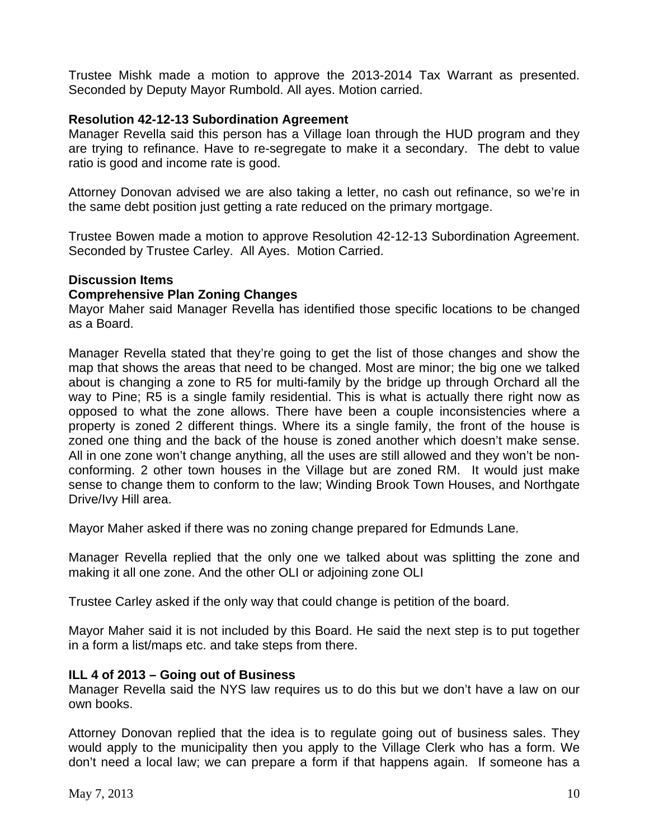Trustee Mishk made a motion to approve the 2013-2014 Tax Warrant as presented. Seconded by Deputy Mayor Rumbold. All ayes. Motion carried.

### **Resolution 42-12-13 Subordination Agreement**

Manager Revella said this person has a Village loan through the HUD program and they are trying to refinance. Have to re-segregate to make it a secondary. The debt to value ratio is good and income rate is good.

Attorney Donovan advised we are also taking a letter, no cash out refinance, so we're in the same debt position just getting a rate reduced on the primary mortgage.

Trustee Bowen made a motion to approve Resolution 42-12-13 Subordination Agreement. Seconded by Trustee Carley. All Ayes. Motion Carried.

# **Discussion Items**

#### **Comprehensive Plan Zoning Changes**

Mayor Maher said Manager Revella has identified those specific locations to be changed as a Board.

Manager Revella stated that they're going to get the list of those changes and show the map that shows the areas that need to be changed. Most are minor; the big one we talked about is changing a zone to R5 for multi-family by the bridge up through Orchard all the way to Pine; R5 is a single family residential. This is what is actually there right now as opposed to what the zone allows. There have been a couple inconsistencies where a property is zoned 2 different things. Where its a single family, the front of the house is zoned one thing and the back of the house is zoned another which doesn't make sense. All in one zone won't change anything, all the uses are still allowed and they won't be nonconforming. 2 other town houses in the Village but are zoned RM. It would just make sense to change them to conform to the law; Winding Brook Town Houses, and Northgate Drive/Ivy Hill area.

Mayor Maher asked if there was no zoning change prepared for Edmunds Lane.

Manager Revella replied that the only one we talked about was splitting the zone and making it all one zone. And the other OLI or adjoining zone OLI

Trustee Carley asked if the only way that could change is petition of the board.

Mayor Maher said it is not included by this Board. He said the next step is to put together in a form a list/maps etc. and take steps from there.

#### **ILL 4 of 2013 – Going out of Business**

Manager Revella said the NYS law requires us to do this but we don't have a law on our own books.

Attorney Donovan replied that the idea is to regulate going out of business sales. They would apply to the municipality then you apply to the Village Clerk who has a form. We don't need a local law; we can prepare a form if that happens again. If someone has a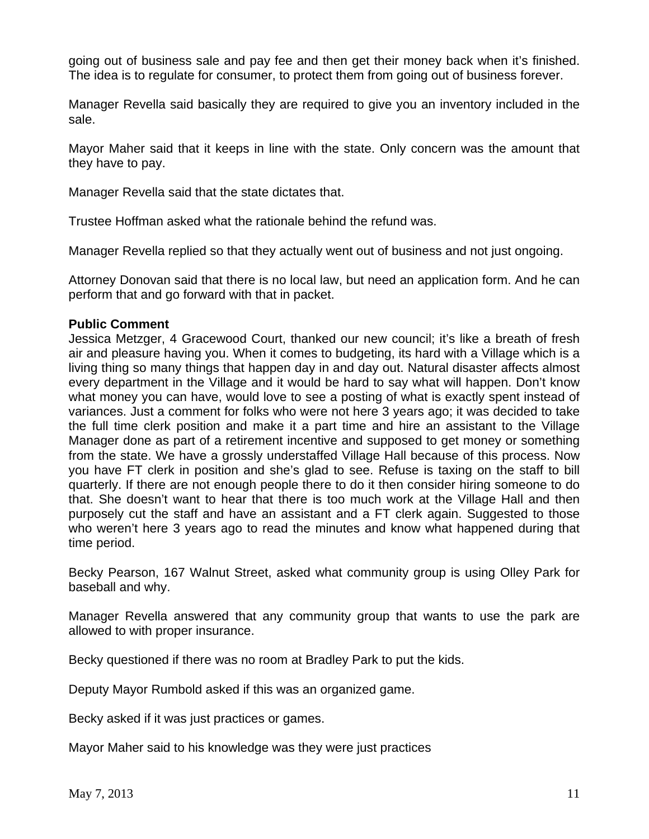going out of business sale and pay fee and then get their money back when it's finished. The idea is to regulate for consumer, to protect them from going out of business forever.

Manager Revella said basically they are required to give you an inventory included in the sale.

Mayor Maher said that it keeps in line with the state. Only concern was the amount that they have to pay.

Manager Revella said that the state dictates that.

Trustee Hoffman asked what the rationale behind the refund was.

Manager Revella replied so that they actually went out of business and not just ongoing.

Attorney Donovan said that there is no local law, but need an application form. And he can perform that and go forward with that in packet.

#### **Public Comment**

Jessica Metzger, 4 Gracewood Court, thanked our new council; it's like a breath of fresh air and pleasure having you. When it comes to budgeting, its hard with a Village which is a living thing so many things that happen day in and day out. Natural disaster affects almost every department in the Village and it would be hard to say what will happen. Don't know what money you can have, would love to see a posting of what is exactly spent instead of variances. Just a comment for folks who were not here 3 years ago; it was decided to take the full time clerk position and make it a part time and hire an assistant to the Village Manager done as part of a retirement incentive and supposed to get money or something from the state. We have a grossly understaffed Village Hall because of this process. Now you have FT clerk in position and she's glad to see. Refuse is taxing on the staff to bill quarterly. If there are not enough people there to do it then consider hiring someone to do that. She doesn't want to hear that there is too much work at the Village Hall and then purposely cut the staff and have an assistant and a FT clerk again. Suggested to those who weren't here 3 years ago to read the minutes and know what happened during that time period.

Becky Pearson, 167 Walnut Street, asked what community group is using Olley Park for baseball and why.

Manager Revella answered that any community group that wants to use the park are allowed to with proper insurance.

Becky questioned if there was no room at Bradley Park to put the kids.

Deputy Mayor Rumbold asked if this was an organized game.

Becky asked if it was just practices or games.

Mayor Maher said to his knowledge was they were just practices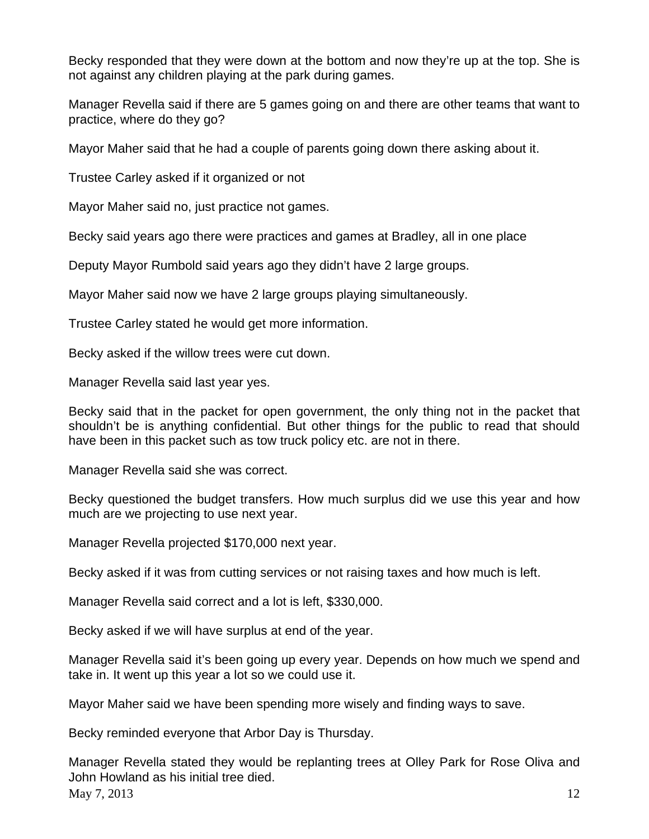Becky responded that they were down at the bottom and now they're up at the top. She is not against any children playing at the park during games.

Manager Revella said if there are 5 games going on and there are other teams that want to practice, where do they go?

Mayor Maher said that he had a couple of parents going down there asking about it.

Trustee Carley asked if it organized or not

Mayor Maher said no, just practice not games.

Becky said years ago there were practices and games at Bradley, all in one place

Deputy Mayor Rumbold said years ago they didn't have 2 large groups.

Mayor Maher said now we have 2 large groups playing simultaneously.

Trustee Carley stated he would get more information.

Becky asked if the willow trees were cut down.

Manager Revella said last year yes.

Becky said that in the packet for open government, the only thing not in the packet that shouldn't be is anything confidential. But other things for the public to read that should have been in this packet such as tow truck policy etc. are not in there.

Manager Revella said she was correct.

Becky questioned the budget transfers. How much surplus did we use this year and how much are we projecting to use next year.

Manager Revella projected \$170,000 next year.

Becky asked if it was from cutting services or not raising taxes and how much is left.

Manager Revella said correct and a lot is left, \$330,000.

Becky asked if we will have surplus at end of the year.

Manager Revella said it's been going up every year. Depends on how much we spend and take in. It went up this year a lot so we could use it.

Mayor Maher said we have been spending more wisely and finding ways to save.

Becky reminded everyone that Arbor Day is Thursday.

May 7, 2013 12 Manager Revella stated they would be replanting trees at Olley Park for Rose Oliva and John Howland as his initial tree died.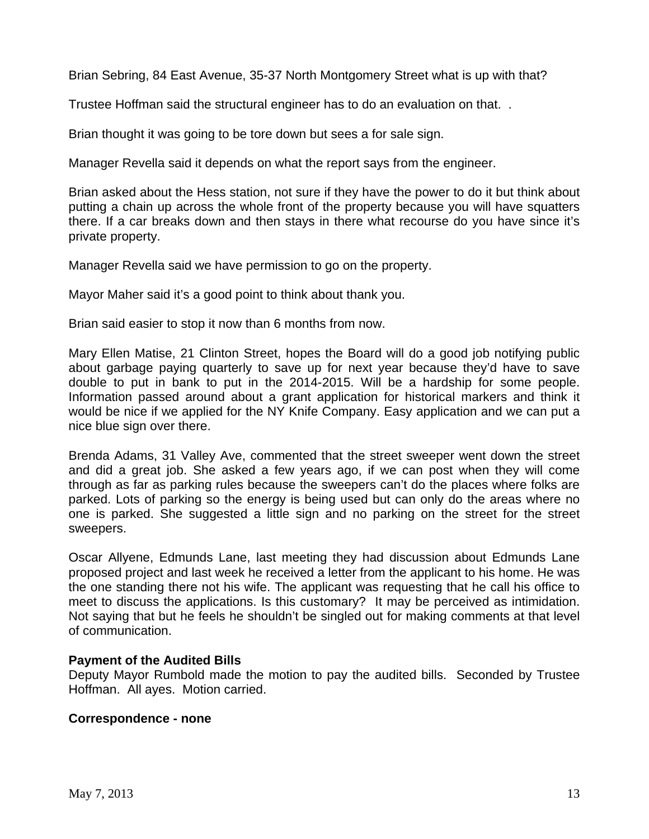Brian Sebring, 84 East Avenue, 35-37 North Montgomery Street what is up with that?

Trustee Hoffman said the structural engineer has to do an evaluation on that. .

Brian thought it was going to be tore down but sees a for sale sign.

Manager Revella said it depends on what the report says from the engineer.

Brian asked about the Hess station, not sure if they have the power to do it but think about putting a chain up across the whole front of the property because you will have squatters there. If a car breaks down and then stays in there what recourse do you have since it's private property.

Manager Revella said we have permission to go on the property.

Mayor Maher said it's a good point to think about thank you.

Brian said easier to stop it now than 6 months from now.

Mary Ellen Matise, 21 Clinton Street, hopes the Board will do a good job notifying public about garbage paying quarterly to save up for next year because they'd have to save double to put in bank to put in the 2014-2015. Will be a hardship for some people. Information passed around about a grant application for historical markers and think it would be nice if we applied for the NY Knife Company. Easy application and we can put a nice blue sign over there.

Brenda Adams, 31 Valley Ave, commented that the street sweeper went down the street and did a great job. She asked a few years ago, if we can post when they will come through as far as parking rules because the sweepers can't do the places where folks are parked. Lots of parking so the energy is being used but can only do the areas where no one is parked. She suggested a little sign and no parking on the street for the street sweepers.

Oscar Allyene, Edmunds Lane, last meeting they had discussion about Edmunds Lane proposed project and last week he received a letter from the applicant to his home. He was the one standing there not his wife. The applicant was requesting that he call his office to meet to discuss the applications. Is this customary? It may be perceived as intimidation. Not saying that but he feels he shouldn't be singled out for making comments at that level of communication.

# **Payment of the Audited Bills**

Deputy Mayor Rumbold made the motion to pay the audited bills. Seconded by Trustee Hoffman. All ayes. Motion carried.

#### **Correspondence - none**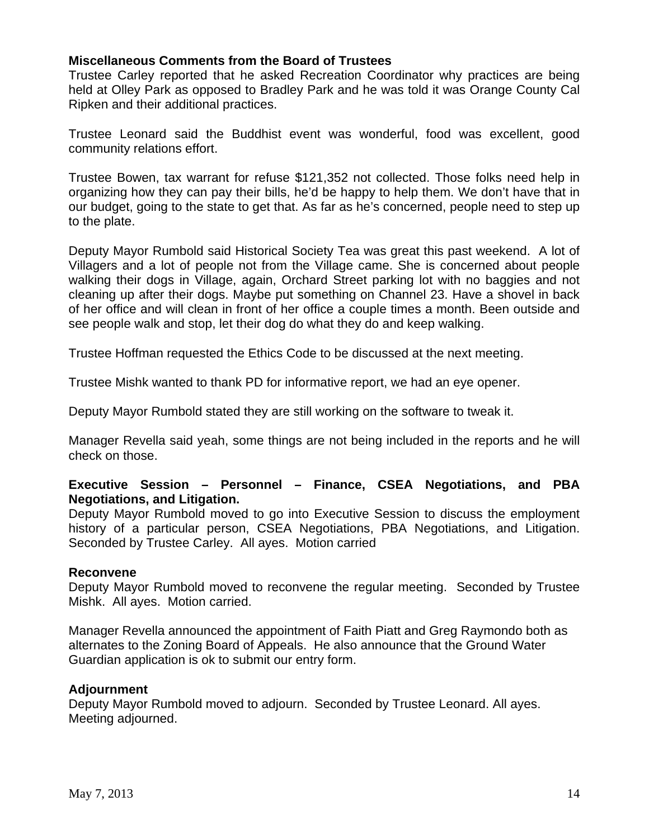### **Miscellaneous Comments from the Board of Trustees**

Trustee Carley reported that he asked Recreation Coordinator why practices are being held at Olley Park as opposed to Bradley Park and he was told it was Orange County Cal Ripken and their additional practices.

Trustee Leonard said the Buddhist event was wonderful, food was excellent, good community relations effort.

Trustee Bowen, tax warrant for refuse \$121,352 not collected. Those folks need help in organizing how they can pay their bills, he'd be happy to help them. We don't have that in our budget, going to the state to get that. As far as he's concerned, people need to step up to the plate.

Deputy Mayor Rumbold said Historical Society Tea was great this past weekend. A lot of Villagers and a lot of people not from the Village came. She is concerned about people walking their dogs in Village, again, Orchard Street parking lot with no baggies and not cleaning up after their dogs. Maybe put something on Channel 23. Have a shovel in back of her office and will clean in front of her office a couple times a month. Been outside and see people walk and stop, let their dog do what they do and keep walking.

Trustee Hoffman requested the Ethics Code to be discussed at the next meeting.

Trustee Mishk wanted to thank PD for informative report, we had an eye opener.

Deputy Mayor Rumbold stated they are still working on the software to tweak it.

Manager Revella said yeah, some things are not being included in the reports and he will check on those.

### **Executive Session – Personnel – Finance, CSEA Negotiations, and PBA Negotiations, and Litigation.**

Deputy Mayor Rumbold moved to go into Executive Session to discuss the employment history of a particular person, CSEA Negotiations, PBA Negotiations, and Litigation. Seconded by Trustee Carley. All ayes. Motion carried

#### **Reconvene**

Deputy Mayor Rumbold moved to reconvene the regular meeting. Seconded by Trustee Mishk. All ayes. Motion carried.

Manager Revella announced the appointment of Faith Piatt and Greg Raymondo both as alternates to the Zoning Board of Appeals. He also announce that the Ground Water Guardian application is ok to submit our entry form.

#### **Adjournment**

Deputy Mayor Rumbold moved to adjourn. Seconded by Trustee Leonard. All ayes. Meeting adjourned.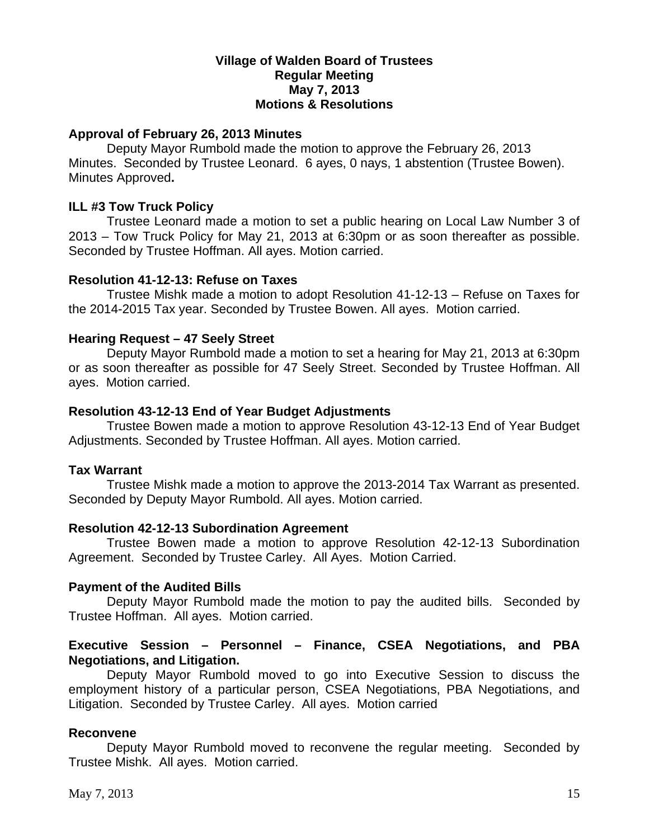### **Village of Walden Board of Trustees Regular Meeting May 7, 2013 Motions & Resolutions**

### **Approval of February 26, 2013 Minutes**

Deputy Mayor Rumbold made the motion to approve the February 26, 2013 Minutes. Seconded by Trustee Leonard. 6 ayes, 0 nays, 1 abstention (Trustee Bowen). Minutes Approved**.** 

#### **ILL #3 Tow Truck Policy**

Trustee Leonard made a motion to set a public hearing on Local Law Number 3 of 2013 – Tow Truck Policy for May 21, 2013 at 6:30pm or as soon thereafter as possible. Seconded by Trustee Hoffman. All ayes. Motion carried.

#### **Resolution 41-12-13: Refuse on Taxes**

Trustee Mishk made a motion to adopt Resolution 41-12-13 – Refuse on Taxes for the 2014-2015 Tax year. Seconded by Trustee Bowen. All ayes. Motion carried.

#### **Hearing Request – 47 Seely Street**

Deputy Mayor Rumbold made a motion to set a hearing for May 21, 2013 at 6:30pm or as soon thereafter as possible for 47 Seely Street. Seconded by Trustee Hoffman. All ayes. Motion carried.

#### **Resolution 43-12-13 End of Year Budget Adjustments**

Trustee Bowen made a motion to approve Resolution 43-12-13 End of Year Budget Adjustments. Seconded by Trustee Hoffman. All ayes. Motion carried.

#### **Tax Warrant**

Trustee Mishk made a motion to approve the 2013-2014 Tax Warrant as presented. Seconded by Deputy Mayor Rumbold. All ayes. Motion carried.

#### **Resolution 42-12-13 Subordination Agreement**

Trustee Bowen made a motion to approve Resolution 42-12-13 Subordination Agreement. Seconded by Trustee Carley. All Ayes. Motion Carried.

#### **Payment of the Audited Bills**

Deputy Mayor Rumbold made the motion to pay the audited bills. Seconded by Trustee Hoffman. All ayes. Motion carried.

### **Executive Session – Personnel – Finance, CSEA Negotiations, and PBA Negotiations, and Litigation.**

Deputy Mayor Rumbold moved to go into Executive Session to discuss the employment history of a particular person, CSEA Negotiations, PBA Negotiations, and Litigation. Seconded by Trustee Carley. All ayes. Motion carried

#### **Reconvene**

Deputy Mayor Rumbold moved to reconvene the regular meeting. Seconded by Trustee Mishk. All ayes. Motion carried.